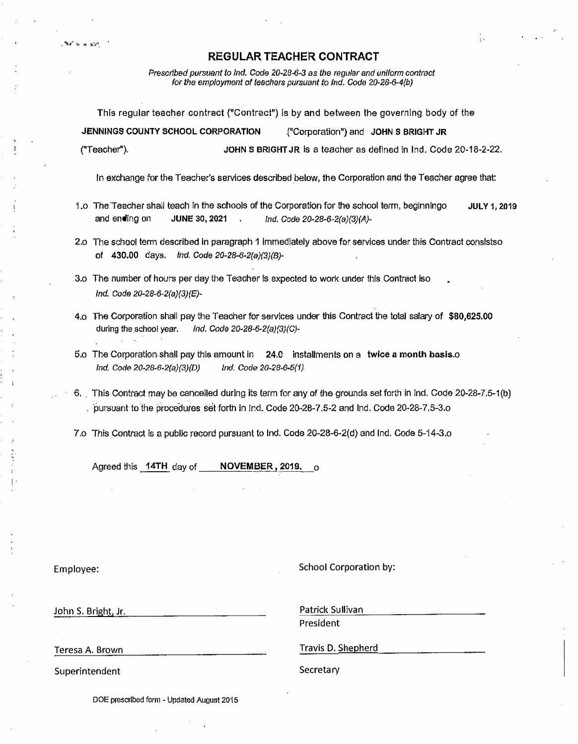*Prescribed pursuant to Ind. Code 20-28-6-3 as the regular and uniform contract for the employment of teachers pursuant to Ind. Code 20-28-6-4(b)* 

This regular teacher contract ("Contract") is by and between the governing body of the

**JENNINGS COUNTY SCHOOL CORPORATION** .("Corporation") and **JOHN S BRIGHT JR** ("Teacher"), **JOHNS BRIGHT JR** Is a teacher as defined in Ind. Code 20-18-2-22.

In exchange for the Teacher's services described below, the Corporation and the Teacher agree that:

- 1.o The Teacher shall teach In the schools of the Corporation for the school term, beginningo **JULY1,2019**  and ending on **JUNE 30, 2021** *Ind. Code 20-28-6-2(a)(3)(A)-*
- 2.o The school term described in paragraph 1 Immediately above for services under this Contract consistso of 430.00 days. *Ind. Code 20-28-6-2(a)(3}(B)-*
- 3.o The number of hours per day the Teacher fs expected to work under this Contract iso *Ind. Code 20-28-6-2(a)(3)(E)-*
- 4.o The Corporation shall pay !he Teacher for services under this Contract the total salary of **\$[80,625.00](https://80,625.00)** during the .school year. *Ind. Code 20-28-6-2(a)(3)(C)-*
- 5.o The Corporation shall pay this amount in 24.0 installments on a **twice a** month basis.o *Ind. Code 20-28-6-2(a}(3)(D) Ind. Code 20-28-6-5(1)*
- $-6$ . This Contract may be cancelled during its term for any of the grounds set forth in Ind. Code 20-28-7.5-1(b) ·pursuant to the proce·dures set forth in Ind. Code 20•28· 7 .5-2 and Ind. Code 20-28-7.5-3.o

7.o This Contract Is a public record pursuant to Ind. Code 20-28-6-2(d) and Ind. Code 5-14-3.o

Agreed this 14TH day of  $N$ OVEMBER, 2019.  $\circ$ 

**Phat is a light** 

Employee: School Corporation by:

John S. Bright, Jr. **Patrick Sullivan** 

President

Teresa A. Brown

Superintendent

Travis D. Shepherd

Secretary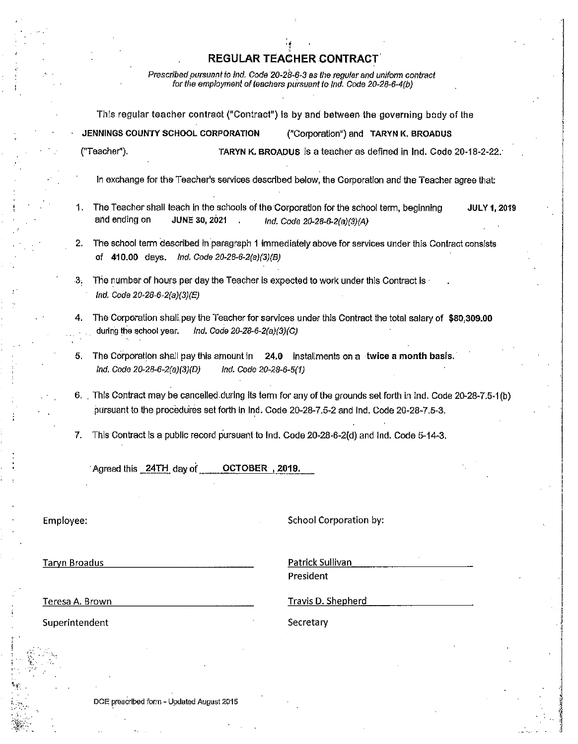Prescribed pursuant to Ind. Code 20-28-6-3 as the regular and uniform contract for the employment of teachers pursuant to Ind. Code 20-28-6-4(b)

This regular teacher contract ("Contract") is by and between the governing body of the JENNINGS COUNTY SCHOOL CORPORATION ("Corporation") and TARYN K, BROADUS ("Teacher"). TARYN K. BROADUS is a teacher as defined in Ind. Code 20-18-2-22. In exchange for the Teacher's services described below, the Corporation and the Teacher agree that: The Teacher shall teach in the schools of the Corporation for the school term, beginning  $\mathbf{1}$ **JULY 1, 2019** and ending on **JUNE 30, 2021** Ind. Code 20-28-6-2(a)(3)(A)  $2.$ The school term described in paragraph 1 immediately above for services under this Contract consists of 410.00 days, Ind. Code 20-28-6-2(a)(3)(B) The number of hours per day the Teacher is expected to work under this Contract is - $\mathbf{3}$ . Ind. Code 20-28-6-2(a)(3)(E) The Corporation shall pay the Teacher for services under this Contract the total salary of \$80,309,00 during the school year. Ind. Code 20-28-6-2(a)(3)(C) The Corporation shall pay this amount in 24.0 Installments on a twice a month basis. 5. Ind. Code 20-28-6-2(a)(3)(D) Ind. Code 20-28-6-5(1) 6. This Contract may be cancelled during its term for any of the grounds set forth in ind. Code 20-28-7.5-1(b) pursuant to the procedures set forth in Ind. Code 20-28-7.5-2 and Ind. Code 20-28-7.5-3. This Contract is a public record pursuant to Ind. Code 20-28-6-2(d) and Ind. Code 5-14-3. 7. Agreed this 24TH day of **OCTOBER 2019.** School Corporation by: Employee:

**Taryn Broadus** 

Patrick Sullivan President

Teresa A. Brown

Travis D. Shepherd

Superintendent

Secretary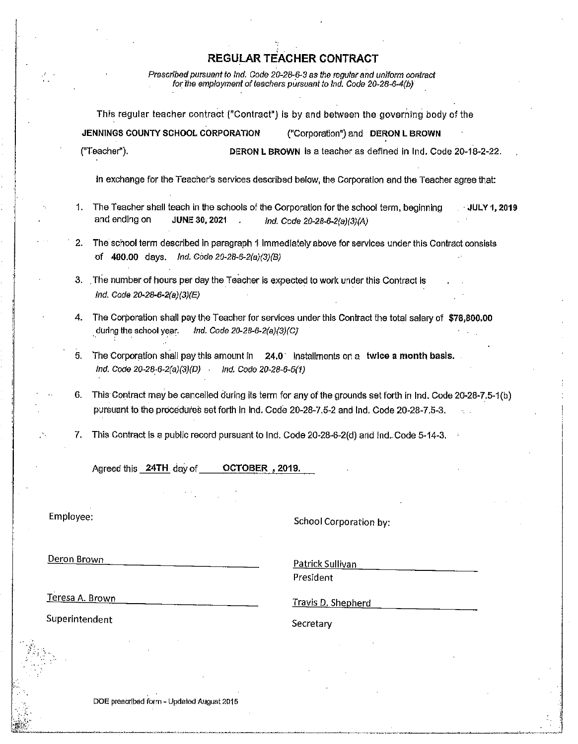Prescribed pursuant to Ind. Code 20-28-6-3 as the regular and uniform contract for the employment of teachers pursuant to Ind. Code 20-28-6-4(b)

This regular teacher contract ("Contract") is by and between the governing body of the JENNINGS COUNTY SCHOOL CORPORATION ("Corporation") and DERON L BROWN ("Teacher"). DERON L BROWN is a teacher as defined in Ind. Code 20-18-2-22.

In exchange for the Teacher's services described below, the Corporation and the Teacher agree that:

- 1. The Teacher shall teach in the schools of the Corporation for the school term, beginning **JULY 1, 2019** and ending on JUNE 30, 2021 Ind. Code 20-28-6-2(a)(3)(A)
- 2. The school term described in paragraph 1 immediately above for services under this Contract consists of 400.00 days. Ind. Code 20-28-6-2(a)(3)(B)
- 3. The number of hours per day the Teacher is expected to work under this Contract is Ind. Code 20-28-6-2(a)(3)(E)
- 4. The Corporation shall pay the Teacher for services under this Contract the total salary of \$78,800,00 during the school year. Ind. Code 20-28-6-2(a)(3)(C)
- The Corporation shall pay this amount in  $24.0$  installments on a twice a month basis. 5. Ind. Code  $20-28-6-2(a)(3)(D)$ Ind. Code 20-28-6-5(1)
- This Contract may be cancelled during its term for any of the grounds set forth in Ind. Code 20-28-7.5-1(b) pursuant to the procedures set forth in Ind. Code 20-28-7.5-2 and Ind. Code 20-28-7.5-3.
- This Contract is a public record pursuant to Ind. Code 20-28-6-2(d) and Ind. Code 5-14-3. 7.

Agreed this 24TH day of OCTOBER, 2019.

Employee:

School Corporation by:

Deron Brown

Patrick Sullivan President

Teresa A. Brown

Travis D. Shepherd

Superintendent

Secretary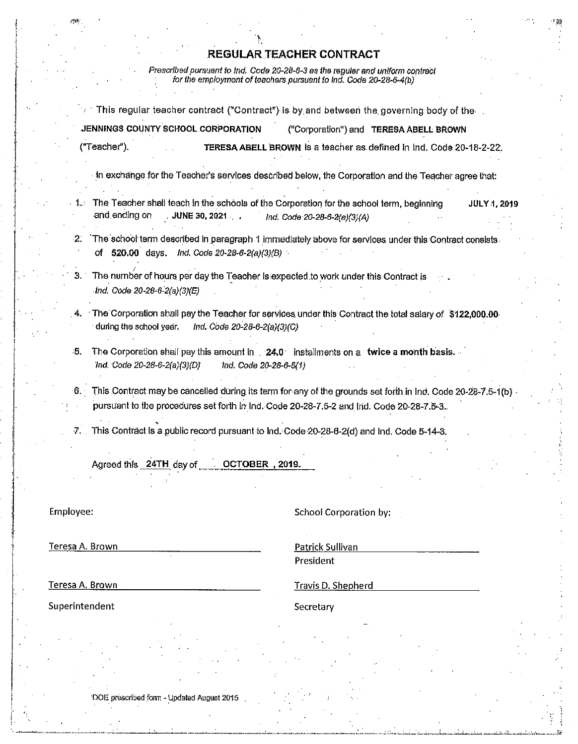Prescribed pursuant to Ind. Code 20-28-6-3 as the regular and uniform contract<br>for the employment of teachers pursuant to Ind. Code 20-28-6-4(b)

|                                                                                                                            | This regular teacher contract ("Contract") is by and between the governing body of the                                                                                                                    |              |
|----------------------------------------------------------------------------------------------------------------------------|-----------------------------------------------------------------------------------------------------------------------------------------------------------------------------------------------------------|--------------|
| JENNINGS COUNTY SCHOOL CORPORATION                                                                                         | ("Corporation") and TERESA ABELL BROWN                                                                                                                                                                    |              |
| ("Teacher").                                                                                                               | TERESA ABELL BROWN is a teacher as defined in Ind. Code 20-18-2-22.                                                                                                                                       |              |
|                                                                                                                            | In exchange for the Teacher's services described below, the Corporation and the Teacher agree that:                                                                                                       |              |
| and ending on<br>JUNE 30, 2021                                                                                             | The Teacher shall teach in the schools of the Corporation for the school term, beginning<br>Ind. Code 20-28-6-2(a)(3)(A)                                                                                  | JULY 4, 2019 |
| $-2$<br>of 520.00 days.<br>Ind. Code 20-28-6-2(a)(3)(B)                                                                    | The school term described in paragraph 1 immediately above for services under this Contract consists.                                                                                                     |              |
| The number of hours per day the Teacher is expected to work under this Contract is<br>З.<br>$Ind. Code 20-28-6-2(a)(3)(E)$ |                                                                                                                                                                                                           |              |
| 4.<br>during the school year.<br>Ind. Code 20-28-6-2(a)(3)(C)                                                              | The Corporation shall pay the Teacher for services under this Contract the total salary of \$122,000.00                                                                                                   |              |
| ۰5.<br>Ind. Code 20-28-6-2(a)(3)(D)<br>Ind. Code 20-28-6-5(1)                                                              | The Corporation shall pay this amount in 24.0 installments on a twice a month basis.                                                                                                                      |              |
|                                                                                                                            | 6. This Contract may be cancelled during its term for any of the grounds set forth in Ind. Code 20-28-7.5-1(b)<br>pursuant to the procedures set forth in Ind. Code 20-28-7.5-2 and Ind. Code 20-28-7.5-3 |              |
| T.                                                                                                                         | This Contract is a public record pursuant to Ind. Code 20-28-6-2(d) and Ind. Code 5-14-3.                                                                                                                 |              |
| Agreed this 24TH day of CCTOBER, 2019.                                                                                     |                                                                                                                                                                                                           |              |
| Employee:                                                                                                                  | School Corporation by:                                                                                                                                                                                    |              |
| Teresa A. Brown                                                                                                            | Patrick Sullivan                                                                                                                                                                                          |              |
|                                                                                                                            | President                                                                                                                                                                                                 |              |
| Teresa A. Brown                                                                                                            | <b>Travis D. Shepherd</b>                                                                                                                                                                                 |              |
| Superintendent                                                                                                             | Secretary                                                                                                                                                                                                 |              |
|                                                                                                                            |                                                                                                                                                                                                           |              |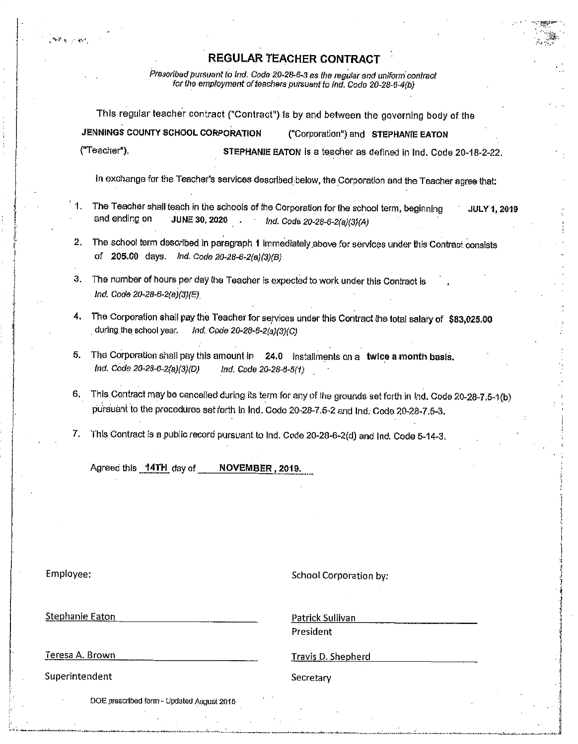Prescribed pursuant to Ind. Code 20-28-6-3 as the regular and uniform contract for the employment of teachers pursuant to Ind. Code 20-28-6-4(b)

This regular teacher contract ("Contract") is by and between the governing body of the JENNINGS COUNTY SCHOOL CORPORATION ("Corporation") and STEPHANIE EATON ("Teacher"). STEPHANIE EATON is a teacher as defined in Ind. Code 20-18-2-22.

In exchange for the Teacher's services described below, the Corporation and the Teacher agree that:

- The Teacher shall teach in the schools of the Corporation for the school term, beginning **JULY 1, 2019** and ending on **JUNE 30, 2020** Ind. Code 20-28-6-2(a)(3)(A)
- 2. The school term described in paragraph 1 immediately above for services under this Contract consists of 205.00 days. Ind. Code 20-28-6-2(a)(3)(B)
- 3. The number of hours per day the Teacher is expected to work under this Contract is Ind. Code 20-28-6-2(a)(3)(E)
- 4. The Corporation shall pay the Teacher for services under this Contract the total salary of \$83,025,00 during the school vear. Ind. Code 20-28-6-2(a)(3)(C)
- 5. The Corporation shall pay this amount in 24.0 installments on a twice a month basis, Ind. Code 20-28-6-2(a)(3)(D) Ind. Code 20-28-6-5(1)
- 6. This Contract may be cancelled during its term for any of the grounds set forth in Ind. Code 20-28-7.5-1(b) pursuant to the procedures set forth in Ind. Code 20-28-7.5-2 and Ind. Code 20-28-7.5-3.
- 7. This Contract is a public record pursuant to Ind. Code 20-28-6-2(d) and Ind. Code 5-14-3.

Agreed this 14TH day of NOVEMBER, 2019

Employee:

**School Corporation by:** 

**Stephanie Eaton** 

Patrick Sullivan President

Teresa A. Brown

Superintendent

Travis D. Shepherd

Secretary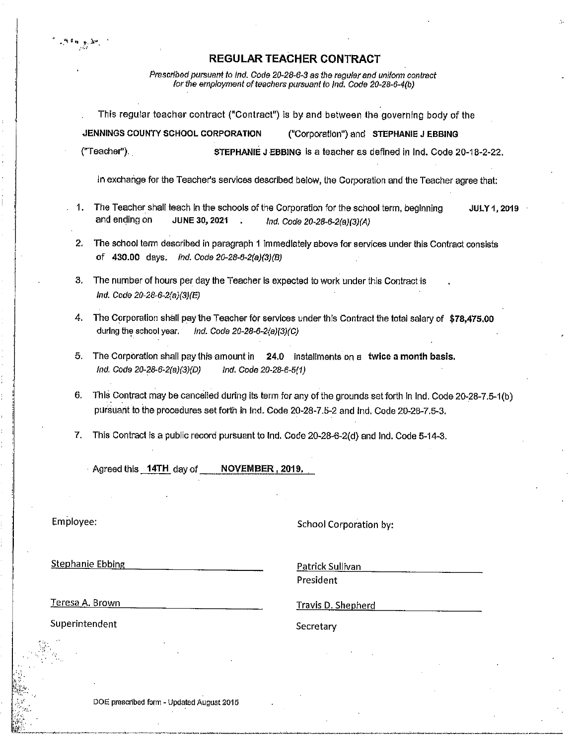Prescribed pursuant to Ind. Code 20-28-6-3 as the regular and uniform contract for the employment of teachers pursuant to Ind, Code 20-28-6-4(b)

This regular teacher contract ("Contract") is by and between the governing body of the

JENNINGS COUNTY SCHOOL CORPORATION ("Corporation") and STEPHANIE J EBBING ("Teacher"). STEPHANIE J EBBING Is a teacher as defined in Ind. Code 20-18-2-22. In exchange for the Teacher's services described below, the Corporation and the Teacher agree that: The Teacher shall teach in the schools of the Corporation for the school term, beginning  $\mathbf{1}$ **JULY 1, 2019** and ending on

2. The school term described in paragraph 1 immediately above for services under this Contract consists of 430.00 days. Ind. Code 20-28-6-2(a)(3)(B)

Ind. Code 20-28-6-2(a)(3)(A)

- 3. The number of hours per day the Teacher is expected to work under this Contract is Ind. Code 20-28-6-2(a)(3)(E)
- 4. The Corporation shall pay the Teacher for services under this Contract the total salary of \$78.475.00 during the school year. Ind. Code 20-28-6-2(a)(3)(C)
- 5. The Corporation shall pay this amount in 24.0 installments on a twice a month basis. Ind. Code 20-28-6-2(a)(3)(D) Ind. Code 20-28-6-5(1)
- This Contract may be cancelled during its term for any of the grounds set forth in Ind. Code 20-28-7.5-1(b) 6. pursuant to the procedures set forth in Ind. Code 20-28-7.5-2 and Ind. Code 20-28-7.5-3.
- 7. This Contract is a public record pursuant to Ind. Code 20-28-6-2(d) and Ind. Code 5-14-3.

Agreed this 14TH day of NOVEMBER, 2019.

JUNE 30, 2021

Employee:

School Corporation by:

**Stephanie Ebbing** 

Patrick Sullivan President

Teresa A. Brown

Travis D. Shepherd

Superintendent

Secretary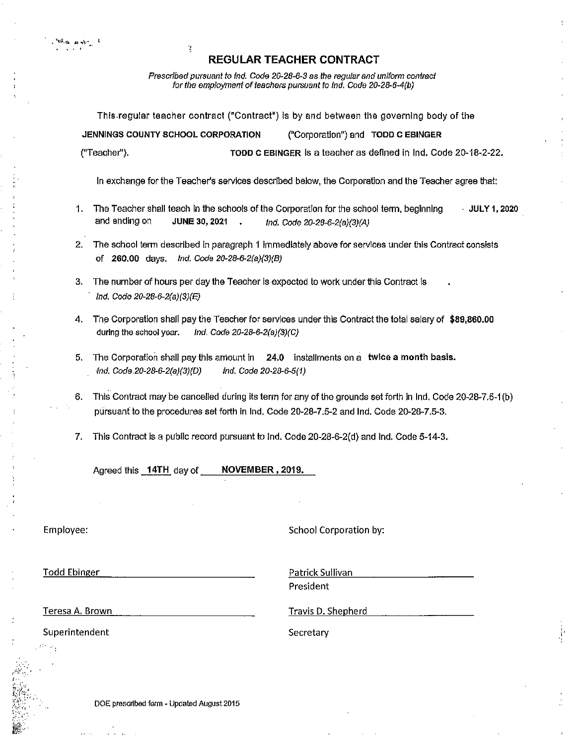Prescribed pursuant to Ind. Code 20-28-6-3 as the regular and uniform contract for the employment of teachers pursuant to Ind. Code 20-28-6-4(b)

This regular teacher contract ("Contract") is by and between the governing body of the

JENNINGS COUNTY SCHOOL CORPORATION ("Corporation") and TODD C EBINGER

("Teacher").

TODD C EBINGER is a teacher as defined in Ind. Code 20-18-2-22.

In exchange for the Teacher's services described below, the Corporation and the Teacher agree that:

- 1. The Teacher shall teach in the schools of the Corporation for the school term, beginning JULY 1, 2020 and ending on **JUNE 30, 2021** Ind. Code 20-28-6-2(a)(3)(A)
- 2. The school term described in paragraph 1 immediately above for services under this Contract consists of 260.00 days, Ind. Code 20-28-6-2(a)(3)(B)
- 3. The number of hours per day the Teacher is expected to work under this Contract is Ind. Code 20-28-6-2(a)(3)(E)
- 4. The Corporation shall pay the Teacher for services under this Contract the total salary of \$89,860.00 during the school year. Ind. Code 20-28-6-2(a)(3)(C)
- 5. The Corporation shall pay this amount in 24.0 installments on a twice a month basis. Ind. Code.20-28-6-2(a)(3)(D) Ind. Code 20-28-6-5(1)
- This Contract may be cancelled during its term for any of the grounds set forth in Ind. Code 20-28-7.5-1(b) 6. pursuant to the procedures set forth in Ind, Code 20-28-7.5-2 and Ind, Code 20-28-7.5-3.
- This Contract is a public record pursuant to Ind. Code 20-28-6-2(d) and Ind. Code 5-14-3. 7.

Agreed this 14TH day of NOVEMBER, 2019.

Ä

Employee:

**School Corporation by:** 

**Todd Ebinger** 

Patrick Sullivan President

Teresa A. Brown

Travis D. Shepherd

Superintendent

Secretary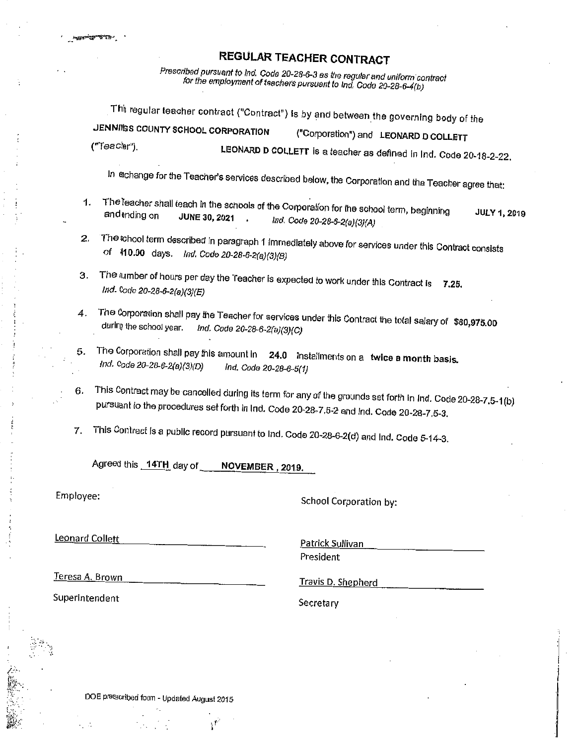Prescribed pursuant to Ind. Code 20-28-6-3 as the regular and uniform contract for the employment of teachers pursuant to Ind. Code 20-28-6-4(b)

This regular teacher contract ("Contract") is by and between the governing body of the JENNINGS COUNTY SCHOOL CORPORATION ("Corporation") and LEONARD D COLLETT ("Teacher") LEONARD D COLLETT is a teacher as defined in Ind. Code 20-18-2-22.

In echange for the Teacher's services described below, the Corporation and the Teacher agree that:

- The leacher shall teach in the schools of the Corporation for the school term, beginning  $\mathbf{1}$ . **JULY 1, 2019** and ending on JUNE 30, 2021 Ind. Code 20-28-6-2(a)(3)(A)
- The school term described in paragraph 1 immediately above for services under this Contract consists  $2.$ of 410.00 days, Ind. Code 20-28-6-2(a)(3)(B)
- The number of hours per day the Teacher is expected to work under this Contract is  $7.25$ . 3. Ind. Code 20-28-6-2(a)(3)(E)
- The Corporation shall pay the Teacher for services under this Contract the total salary of \$80,975.00  $\boldsymbol{4}$ . during the school year. Ind. Code 20-28-6-2(a)(3)(C)
- The Corporation shall pay this amount in 24.0 installments on a twice a month basis. 5. Ind. Code 20-28-6-2(a)(3)(D) Ind. Code 20-28-6-5(1)
- This Contract may be cancelled during its term for any of the grounds set forth in Ind. Code 20-28-7.5-1(b) 6. pursuant to the procedures set forth in Ind. Code 20-28-7.5-2 and Ind. Code 20-28-7.5-3.
- This Contract is a public record pursuant to Ind. Code 20-28-6-2(d) and Ind. Code 5-14-3.  $7<sub>1</sub>$

Agreed this 14TH day of NOVEMBER . 2019.

Employee:

School Corporation by:

**Leonard Collett** 

Patrick Sullivan President

Teresa A. Brown

Travis D. Shepherd

Superintendent

Secretary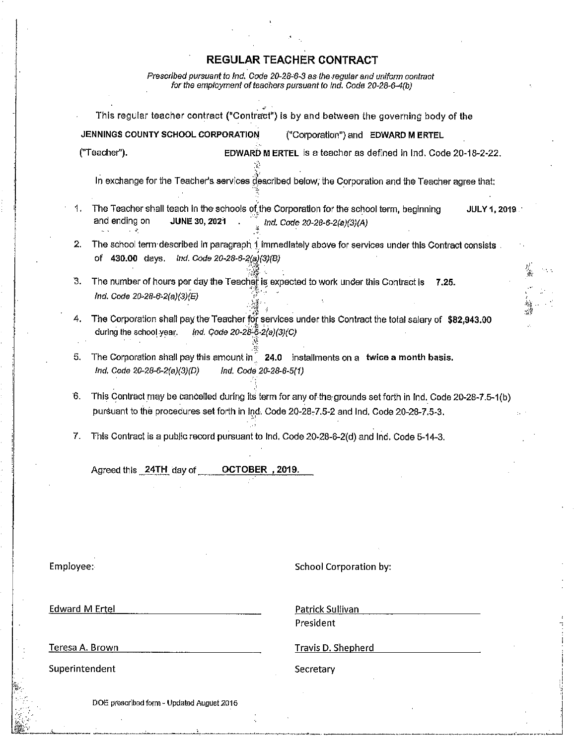Prescribed pursuant to Ind. Code 20-28-6-3 as the regular and uniform contract<br>for the employment of teachers pursuant to Ind. Code 20-28-6-4(b)

|                       |                                                                                                                                                | This regular teacher contract ("Contract") is by and between the governing body of the                                         |
|-----------------------|------------------------------------------------------------------------------------------------------------------------------------------------|--------------------------------------------------------------------------------------------------------------------------------|
|                       | JENNINGS COUNTY SCHOOL CORPORATION                                                                                                             | ("Corporation") and EDWARD MERTEL                                                                                              |
|                       | ("Teacher").                                                                                                                                   | EDWARD MERTEL is a teacher as defined in Ind. Code 20-18-2-22.                                                                 |
|                       |                                                                                                                                                | In exchange for the Teacher's services described below, the Corporation and the Teacher agree that:                            |
| 1.                    | The Teacher shall teach in the schools of the Corporation for the school term, beginning<br>and ending on<br>JUNE 30, 2021                     | JULY 1, 2019<br>Ind. Code 20-28-6-2(a)(3)(A)                                                                                   |
| 2.                    | of 430.00 days. Ind. Code 20-28-6-2(a)(3)(B)                                                                                                   | The school term described in paragraph 1 immediately above for services under this Contract consists.                          |
| 3.                    | The number of hours per day the Teacher is expected to work under this Contract is<br>Ind. Code 20-28-6-2(a)(3)(E)                             | 7.25.                                                                                                                          |
| 4.                    | during the school year.<br>Ind. Code 20-28-6-2(a)(3)(C)                                                                                        | $\frac{1}{\sqrt{2}}$<br>The Corporation shall pay the Teacher for services under this Contract the total salary of \$82,943.00 |
| 5.                    | The Corporation shall pay this amount in 24.0 installments on a twice a month basis.<br>Ind. Code 20-28-6-2(a)(3)(D)<br>Ind. Code 20-28-6-5(1) |                                                                                                                                |
| 6.                    | pursuant to the procedures set forth in Ind. Code 20-28-7.5-2 and Ind. Code 20-28-7.5-3.                                                       | This Contract may be cancelled during its term for any of the grounds set forth in Ind. Code 20-28-7.5-1(b)                    |
| 7.                    | This Contract is a public record pursuant to Ind. Code 20-28-6-2(d) and Ind. Code 5-14-3.                                                      |                                                                                                                                |
|                       | OCTOBER , 2019.<br>Agreed this 24TH day of                                                                                                     |                                                                                                                                |
|                       |                                                                                                                                                |                                                                                                                                |
| Employee:             |                                                                                                                                                | <b>School Corporation by:</b>                                                                                                  |
| <b>Edward M Ertel</b> |                                                                                                                                                | Patrick Sullivan<br>President                                                                                                  |
| Teresa A. Brown       |                                                                                                                                                | <b>Travis D. Shepherd</b>                                                                                                      |
| Superintendent        |                                                                                                                                                | Secretary                                                                                                                      |
|                       | DOE prescribed form - Updated August 2015                                                                                                      |                                                                                                                                |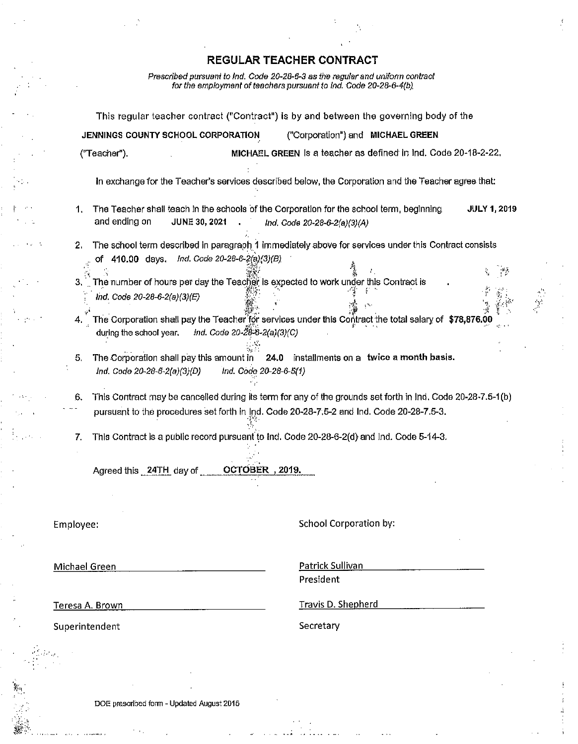Prescribed pursuant to Ind. Code 20-28-6-3 as the regular and uniform contract<br>for the employment of teachers pursuant to Ind. Code 20-28-6-4(b)

|                                                    |                                              | This regular teacher contract ("Contract") is by and between the governing body of the                                   |                     |
|----------------------------------------------------|----------------------------------------------|--------------------------------------------------------------------------------------------------------------------------|---------------------|
|                                                    | JENNINGS COUNTY SCHOOL CORPORATION           | ("Corporation") and MICHAEL GREEN                                                                                        |                     |
| ("Teacher").                                       |                                              | MICHAEL GREEN is a teacher as defined in Ind. Code 20-18-2-22.                                                           |                     |
|                                                    |                                              | In exchange for the Teacher's services described below, the Corporation and the Teacher agree that:                      |                     |
| 1.<br>and ending on                                | <b>JUNE 30, 2021</b>                         | The Teacher shall teach in the schools of the Corporation for the school term, beginning<br>Ind. Code 20-28-6-2(a)(3)(A) | <b>JULY 1, 2019</b> |
| 2.                                                 |                                              | The school term described in paragraph 1 immediately above for services under this Contract consists                     |                     |
|                                                    | of 410.00 days. Ind. Code 20-28-6-2(a)(3)(B) |                                                                                                                          |                     |
| 3.                                                 |                                              | The number of hours per day the Teacher is expected to work under this Contract is                                       | $\sim$ $\mu$        |
| Ind. Code 20-28-6-2(a)(3)(E)                       |                                              |                                                                                                                          |                     |
|                                                    |                                              |                                                                                                                          |                     |
| 4.                                                 |                                              | The Corporation shall pay the Teacher for services under this Contract the total salary of $$78,876.00$                  |                     |
| during the school year.                            | ind. Code 20-28-6-2(a)(3)(C)                 |                                                                                                                          |                     |
| 5.                                                 | The Corporation shall pay this amount in     | 24.0 installments on a twice a month basis.                                                                              |                     |
| Ind. Code 20-28-6-2(a)(3)(D)                       | Ind. Code 20-28-6-5(1)                       |                                                                                                                          |                     |
|                                                    |                                              |                                                                                                                          |                     |
| 6.                                                 |                                              | This Contract may be cancelled during its term for any of the grounds set forth in Ind. Code 20-28-7.5-1(b)              |                     |
|                                                    |                                              | pursuant to the procedures set forth in Ind. Code 20-28-7.5-2 and Ind. Code 20-28-7.5-3.                                 |                     |
|                                                    |                                              |                                                                                                                          |                     |
| 7.                                                 |                                              | This Contract is a public record pursuant to Ind. Code 20-28-6-2(d) and Ind. Code 5-14-3.                                |                     |
|                                                    |                                              |                                                                                                                          |                     |
| Agreed this 24TH day of                            | OCTOBER, 2019.                               |                                                                                                                          |                     |
|                                                    |                                              |                                                                                                                          |                     |
|                                                    |                                              |                                                                                                                          |                     |
|                                                    |                                              |                                                                                                                          |                     |
| Employee:                                          |                                              | School Corporation by:                                                                                                   |                     |
|                                                    |                                              |                                                                                                                          |                     |
|                                                    |                                              |                                                                                                                          |                     |
|                                                    |                                              |                                                                                                                          |                     |
|                                                    |                                              | Patrick Sullivan                                                                                                         |                     |
|                                                    |                                              | President                                                                                                                |                     |
|                                                    |                                              | Travis D. Shepherd                                                                                                       |                     |
| Michael Green<br>Teresa A. Brown<br>Superintendent |                                              | Secretary                                                                                                                |                     |
|                                                    |                                              |                                                                                                                          |                     |
|                                                    |                                              |                                                                                                                          |                     |

DOE prescribed form - Updated August 2015

 $\mathcal{A}$  $\mathbf{v}$  and

 $\mathcal{S}(\mathbb{R})$ 

 $\cdots$   $\Delta$  and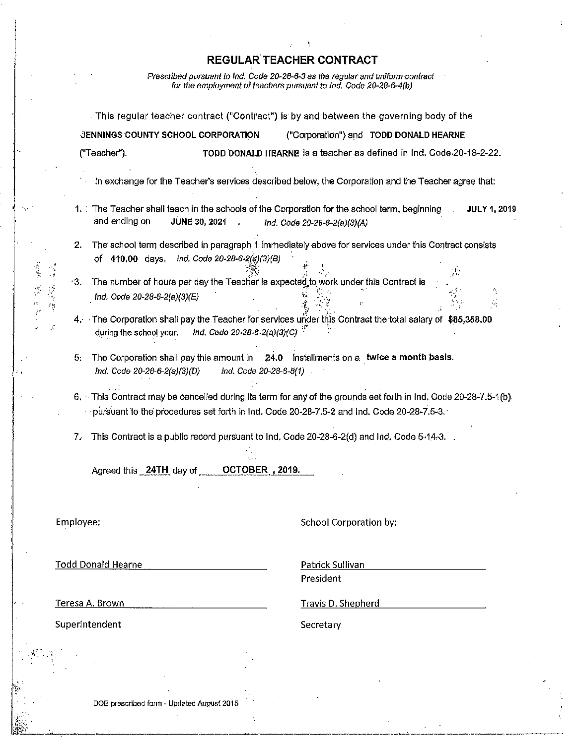Prescribed pursuant to Ind. Code 20-28-6-3 as the regular and uniform contract<br>for the employment of teachers pursuant to Ind. Code 20-28-6-4(b)

 $\mathcal{L}_{\rm{ph}}$ 

 $\frac{1}{2}$ 

 $\frac{1}{\beta}$ 

 $\mathbb{R}^3$ 

|              |                                                    | This regular teacher contract ("Contract") is by and between the governing body of the                                                                                                                                      |
|--------------|----------------------------------------------------|-----------------------------------------------------------------------------------------------------------------------------------------------------------------------------------------------------------------------------|
|              | JENNINGS COUNTY SCHOOL CORPORATION                 | ("Corporation") and TODD DONALD HEARNE                                                                                                                                                                                      |
|              | ("Teacher").                                       | TODD DONALD HEARNE is a teacher as defined in Ind. Code 20-18-2-22.                                                                                                                                                         |
|              |                                                    | In exchange for the Teacher's services described below, the Corporation and the Teacher agree that:                                                                                                                         |
|              | and ending on<br><b>JUNE 30, 2021</b>              | 1. The Teacher shall teach in the schools of the Corporation for the school term, beginning<br><b>JULY 1, 2019</b><br>Ind. Code 20-28-6-2(a)(3)(A)                                                                          |
|              | 2.<br>of 410.00 days, Ind. Code 20-28-6-2(a)(3)(B) | The school term described in paragraph 1 immediately above for services under this Contract consists                                                                                                                        |
| 医中性<br>$\mu$ | Ind. Code 20-28-6-2(a)(3)(E)                       | 3. The number of hours per day the Teacher is expected to work under this Contract is<br>п.<br>$\frac{1}{2}$                                                                                                                |
| È            | during the school year.                            | 4. The Corporation shall pay the Teacher for services under this Contract the total salary of \$85,358.00<br>Ind. Code 20-28-6-2(a)(3)(C)                                                                                   |
|              | 5.<br>Ind. Code 20-28-6-2(a)(3)(D)                 | The Corporation shall pay this amount in 24.0 installments on a twice a month basis.<br>Ind. Code 20-28-6-5(1)                                                                                                              |
|              |                                                    | 6. This Contract may be cancelled during its term for any of the grounds set forth in Ind. Code 20-28-7.5-1(b)<br>$\cdot$ -pursuant to the procedures set forth in Ind. Code 20-28-7.5-2 and Ind. Code 20-28-7.5-3. $\cdot$ |
|              | 7.                                                 | This Contract is a public record pursuant to Ind. Code 20-28-6-2(d) and Ind. Code 5-14-3.                                                                                                                                   |
|              | Agreed this 24TH day of                            | OCTOBER, 2019.                                                                                                                                                                                                              |
|              |                                                    |                                                                                                                                                                                                                             |
|              | Employee:                                          | School Corporation by:                                                                                                                                                                                                      |
|              | <b>Todd Donald Hearne</b>                          | Patrick Sullivan                                                                                                                                                                                                            |
|              |                                                    | President                                                                                                                                                                                                                   |
|              | Teresa A. Brown                                    | <b>Travis D. Shepherd</b>                                                                                                                                                                                                   |
|              | Superintendent                                     | Secretary                                                                                                                                                                                                                   |
|              |                                                    |                                                                                                                                                                                                                             |
|              | DOE prescribed form - Updated August 2015          |                                                                                                                                                                                                                             |
|              |                                                    |                                                                                                                                                                                                                             |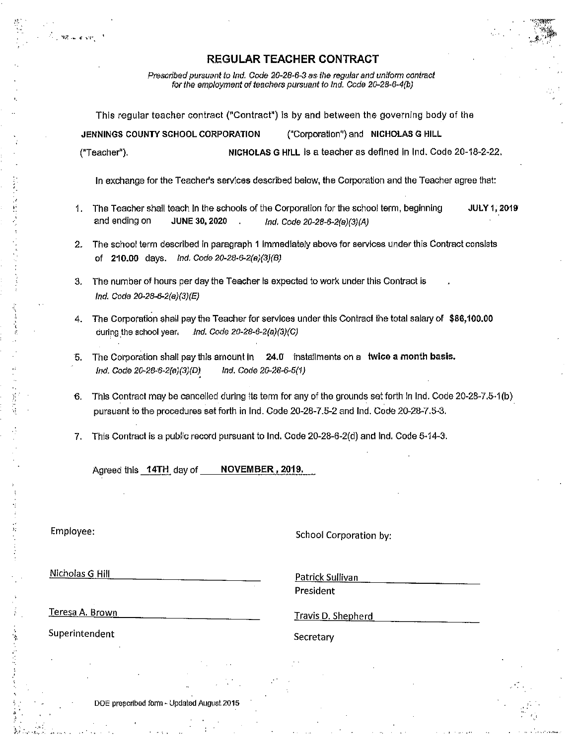Prescribed pursuant to Ind. Code 20-28-6-3 as the regular and uniform contract for the employment of teachers pursuant to Ind. Code 20-28-6-4(b)

This regular teacher contract ("Contract") is by and between the governing body of the

JENNINGS COUNTY SCHOOL CORPORATION ("Corporation") and NICHOLAS G HILL ("Teacher"). NICHOLAS G HILL is a teacher as defined in Ind. Code 20-18-2-22.

In exchange for the Teacher's services described below, the Corporation and the Teacher agree that:

- 1. The Teacher shall teach in the schools of the Corporation for the school term, beginning **JULY 1, 2019** and ending on **JUNE 30, 2020** Ind. Code 20-28-6-2(a)(3)(A)
- 2. The school term described in paragraph 1 immediately above for services under this Contract consists of 210.00 days. Ind. Code 20-28-6-2(a)(3)(B)
- 3. The number of hours per day the Teacher is expected to work under this Contract is Ind. Code 20-28-6-2(a)(3)(E)
- 4. The Corporation shall pay the Teacher for services under this Contract the total salary of \$86,100.00 during the school year, Ind. Code 20-28-6-2(a)(3)(C)
- The Corporation shall pay this amount in 24.0 installments on a twice a month basis. 5. Ind. Code 20-28-6-2(a)(3)(D) Ind. Code 20-28-6-5(1)
- This Contract may be cancelled during its term for any of the grounds set forth in Ind. Code 20-28-7,5-1(b) 6. pursuant to the procedures set forth in Ind. Code 20-28-7.5-2 and Ind. Code 20-28-7.5-3.
- This Contract is a public record pursuant to Ind. Code 20-28-6-2(d) and Ind. Code 5-14-3. 7.

Agreed this 14TH day of NOVEMBER, 2019.

Employee:

School Corporation by:

Nicholas G Hill

Patrick Sullivan President

Teresa A. Brown

Travis D. Shepherd

Superintendent

Secretary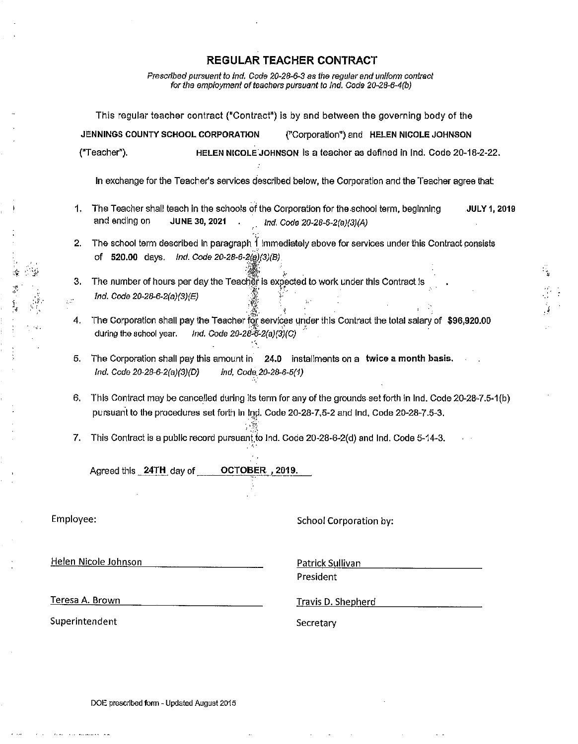Prescribed pursuant to ind. Code 20-28-6-3 as the regular and uniform contract for the employment of teachers pursuant to Ind. Code 20-28-6-4(b)

This regular teacher contract ("Contract") is by and between the governing body of the JENNINGS COUNTY SCHOOL CORPORATION ("Corporation") and HELEN NICOLE JOHNSON ("Teacher"). HELEN NICOLE JOHNSON Is a teacher as defined in Ind. Code 20-18-2-22. In exchange for the Teacher's services described below, the Corporation and the Teacher agree that: 1. The Teacher shall teach in the schools of the Corporation for the school term, beginning **JULY 1, 2019** and ending on JUNE 30, 2021 Ind. Code 20-28-6-2(a)(3)(A) 2. The school term described in paragraph 1 immediately above for services under this Contract consists of 520.00 days. Ind. Code 20-28-6-2(a)(3)(B) The number of hours per day the Teacher is expected to work under this Contract is  $3.$ Ind. Code 20-28-6-2(a)(3)(E)  $\mathbb{R}^2$  $\overline{4}$ . The Corporation shall pay the Teacher for services under this Contract the total salary of \$96,920.00 Ind. Code 20-28-6-2(a)(3)(C) during the school year. 5. The Corporation shall pay this amount in 24.0 installments on a twice a month basis. Ind. Code 20-28-6-2(a)(3)(D) ind, Code 20-28-6-5(1) 6. This Contract may be cancelled during its term for any of the grounds set forth in Ind. Code 20-28-7.5-1(b) pursuant to the procedures set forth in Ind. Code 20-28-7,5-2 and Ind. Code 20-28-7.5-3. 7. This Contract is a public record pursuant to Ind. Code 20-28-6-2(d) and Ind. Code 5-14-3. OCTOBER , 2019. Agreed this 24TH day of Employee: School Corporation by: Helen Nicole Johnson Patrick Sullivan President Teresa A. Brown **Travis D. Shepherd** Superintendent Secretary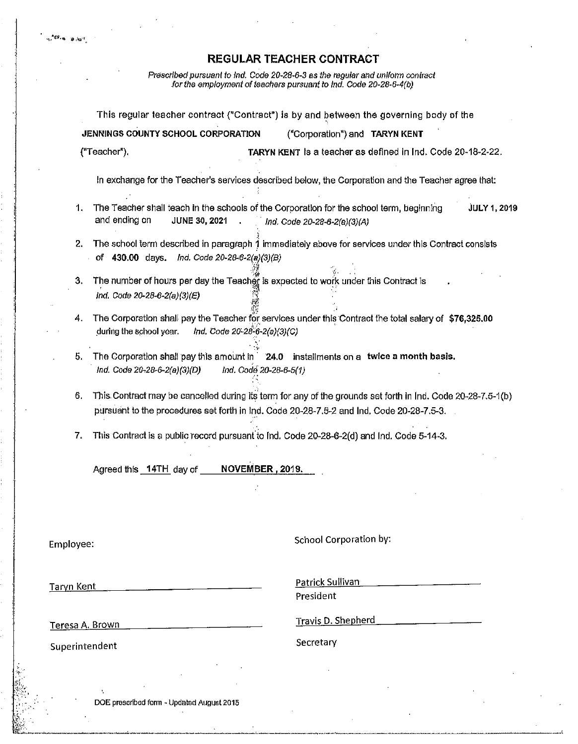$28.86$ 

Prescribed pursuant to Ind. Code 20-28-6-3 as the regular and uniform contract<br>for the employment of teachers pursuant to Ind. Code 20-28-6-4(b)

|                   |                                                 | This regular teacher contract ("Contract") is by and between the governing body of the                                                                                                                  |
|-------------------|-------------------------------------------------|---------------------------------------------------------------------------------------------------------------------------------------------------------------------------------------------------------|
|                   | JENNINGS COUNTY SCHOOL CORPORATION              | ("Corporation") and TARYN KENT                                                                                                                                                                          |
|                   | ("Teacher").                                    | TARYN KENT Is a teacher as defined in Ind. Code 20-18-2-22.                                                                                                                                             |
|                   |                                                 | In exchange for the Teacher's services described below, the Corporation and the Teacher agree that:                                                                                                     |
| 1.                | and ending on<br><b>JUNE 30, 2021</b>           | The Teacher shall teach in the schools of the Corporation for the school term, beginning<br><b>JULY 1, 2019</b><br>Ind. Code 20-28-6-2(a)(3)(A)                                                         |
| 2.                | of 430.00 days.<br>Ind. Code 20-28-6-2(a)(3)(B) | The school term described in paragraph 1 immediately above for services under this Contract consists                                                                                                    |
| 3.                | Ind. Code 20-28-6-2(a)(3)(E)                    | The number of hours per day the Teacher is expected to work under this Contract is                                                                                                                      |
| 4.                | during the school year.                         | The Corporation shall pay the Teacher for services under this Contract the total salary of \$76,325.00<br>Ind. Code 20-28-6-2(a)(3)(C)                                                                  |
| 5.                | Ind. Code 20-28-6-2(a)(3)(D)                    | The Corporation shall pay this amount in 24.0 installments on a twice a month basis.<br>Ind. Code 20-28-6-5(1)                                                                                          |
| 6.                |                                                 | This Contract may be cancelled during its term for any of the grounds set forth in Ind. Code 20-28-7.5-1(b)<br>pursuant to the procedures set forth in Ind. Code 20-28-7.6-2 and Ind. Code 20-28-7.5-3. |
| 7.                |                                                 | This Contract is a public record pursuant to Ind. Code 20-28-6-2(d) and Ind. Code 5-14-3.                                                                                                               |
|                   | Agreed this 14TH day of                         | NOVEMBER, 2019.                                                                                                                                                                                         |
|                   |                                                 |                                                                                                                                                                                                         |
| Employee:         |                                                 | <b>School Corporation by:</b>                                                                                                                                                                           |
| <b>Taryn Kent</b> |                                                 | Patrick Sullivan                                                                                                                                                                                        |
|                   |                                                 | President                                                                                                                                                                                               |
| Teresa A. Brown   | <u> 1980 - Jan Samuel Barbara, martin d</u>     | Travis D. Shepherd                                                                                                                                                                                      |
| Superintendent    |                                                 | Secretary                                                                                                                                                                                               |

DOE prescribed form - Updated August 2015

 $\epsilon$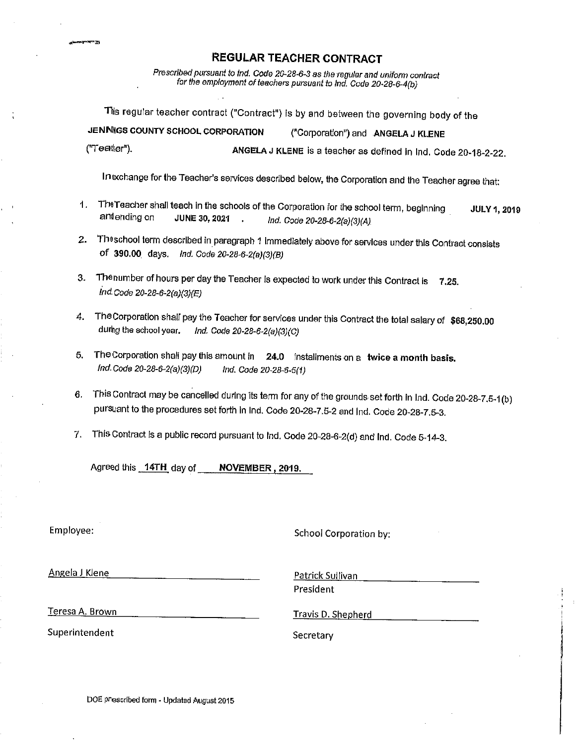Prescribed pursuant to ind. Code 20-28-6-3 as the regular and uniform contract for the employment of teachers pursuant to Ind. Code 20-28-6-4(b)

This regular teacher contract ("Contract") is by and between the governing body of the JENNIGS COUNTY SCHOOL CORPORATION ("Corporation") and ANGELA J KLENE

ANGELA J KLENE is a teacher as defined in Ind. Code 20-18-2-22.

In exchange for the Teacher's services described below, the Corporation and the Teacher agree that:

- The Teacher shall teach in the schools of the Corporation for the school term, beginning  $\ddot{\phantom{0}}$ **JULY 1, 2019** antending on **JUNE 30, 2021** ÷. Ind. Code 20-28-6-2(a)(3)(A)
- 2. The school term described in paragraph 1 immediately above for services under this Contract consists of 390.00 days. Ind. Code 20-28-6-2(a)(3)(B)
- 3. The number of hours per day the Teacher is expected to work under this Contract is 7.25. Ind. Code 20-28-6-2(a)(3)(E)
- 4. The Corporation shall pay the Teacher for services under this Contract the total salary of \$68,250.00 during the school year. Ind. Code 20-28-6-2(a)(3)(C)
- 5. The Corporation shall pay this amount in 24.0 installments on a twice a month basis. Ind. Code 20-28-6-2(a)(3)(D) Ind. Code 20-28-6-5(1)
- 6. This Contract may be cancelled during its term for any of the grounds set forth in Ind. Code 20-28-7.5-1(b) pursuant to the procedures set forth in Ind. Code 20-28-7.5-2 and Ind. Code 20-28-7.5-3.
- 7. This Contract is a public record pursuant to Ind. Code 20-28-6-2(d) and Ind. Code 5-14-3.

Agreed this 14TH day of NOVEMBER, 2019.

Employee:

School Corporation by:

Angela J Klene

("Teater").

Patrick Sullivan

President

Teresa A. Brown

Travis D. Shepherd

Superintendent

Secretary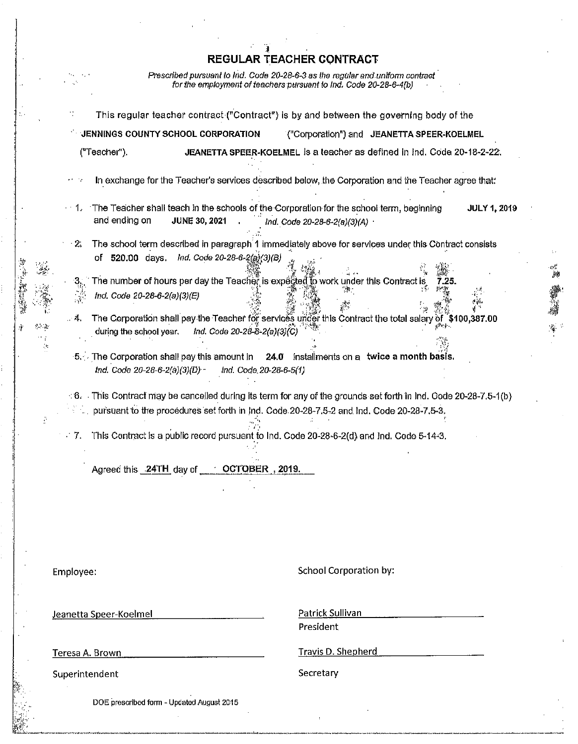Prescribed pursuant to Ind. Code 20-28-6-3 as the regular and uniform contract<br>for the employment of teachers pursuant to Ind. Code 20-28-6-4(b)

|            | JENNINGS COUNTY SCHOOL CORPORATION                                            |                              |                              |                                                                                                                                  | ("Corporation") and JEANETTA SPEER-KOELMEL                                                                                  |                     |
|------------|-------------------------------------------------------------------------------|------------------------------|------------------------------|----------------------------------------------------------------------------------------------------------------------------------|-----------------------------------------------------------------------------------------------------------------------------|---------------------|
|            | ("Teacher").                                                                  |                              |                              |                                                                                                                                  | JEANETTA SPEER-KOELMEL is a teacher as defined in Ind. Code 20-18-2-22.                                                     |                     |
| 13. TV     |                                                                               |                              |                              |                                                                                                                                  | In exchange for the Teacher's services described below, the Corporation and the Teacher agree that:                         |                     |
| - 1.       | and ending on                                                                 | <b>JUNE 30, 2021</b>         |                              | The Teacher shall teach in the schools of the Corporation for the school term, beginning<br>Ind. Code 20-28-6-2(a)(3)(A) $\cdot$ |                                                                                                                             | <b>JULY 1, 2019</b> |
| - 2.       |                                                                               |                              |                              |                                                                                                                                  | The school term described in paragraph 1 immediately above for services under this Contract consists                        |                     |
|            | of 520.00 days.                                                               | Ind. Code 20-28-6-2(a)(3)(B) |                              |                                                                                                                                  |                                                                                                                             |                     |
| $\cdot$ 3, |                                                                               |                              |                              | The number of hours per day the Teacher is expected to work under this Contract is                                               | 7.25.                                                                                                                       |                     |
|            | Ind. Code 20-28-6-2(a)(3)(E)                                                  |                              |                              |                                                                                                                                  |                                                                                                                             |                     |
| . 4.       |                                                                               |                              |                              |                                                                                                                                  | The Corporation shall pay the Teacher for services under this Contract the total salary of "\$100,387.00                    |                     |
|            | during the school year.                                                       |                              | Ind. Code 20-28-6-2(a)(3)(C) |                                                                                                                                  |                                                                                                                             |                     |
|            |                                                                               |                              |                              |                                                                                                                                  |                                                                                                                             |                     |
|            | 5. The Corporation shall pay this amount in<br>Ind. Code 20-28-6-2(a)(3)(D) - |                              |                              |                                                                                                                                  | 24.0 installments on a twice a month basis.                                                                                 |                     |
|            |                                                                               |                              | Ind. Code. 20-28-6-5(1)      |                                                                                                                                  |                                                                                                                             |                     |
|            |                                                                               |                              |                              |                                                                                                                                  |                                                                                                                             |                     |
|            |                                                                               |                              |                              | pursuant to the procedures set forth in Ind. Code 20-28-7.5-2 and Ind. Code 20-28-7.5-3.                                         | $\therefore$ 6. This Contract may be cancelled during its term for any of the grounds set forth in Ind. Code 20-28-7.5-1(b) |                     |
|            |                                                                               |                              |                              |                                                                                                                                  |                                                                                                                             |                     |
| $\sim 7.$  |                                                                               |                              |                              | This Contract is a public record pursuant to Ind. Code 20-28-6-2(d) and Ind. Code 5-14-3.                                        |                                                                                                                             |                     |
|            |                                                                               |                              |                              |                                                                                                                                  |                                                                                                                             |                     |
|            | Agreed this 24TH day of COCTOBER, 2019.                                       |                              |                              |                                                                                                                                  |                                                                                                                             |                     |
|            |                                                                               |                              |                              |                                                                                                                                  |                                                                                                                             |                     |
|            |                                                                               |                              |                              |                                                                                                                                  |                                                                                                                             |                     |
|            |                                                                               |                              |                              |                                                                                                                                  |                                                                                                                             |                     |
|            |                                                                               |                              |                              |                                                                                                                                  |                                                                                                                             |                     |
|            |                                                                               |                              |                              |                                                                                                                                  |                                                                                                                             |                     |
|            |                                                                               |                              |                              | <b>School Corporation by:</b>                                                                                                    |                                                                                                                             |                     |
|            |                                                                               |                              |                              |                                                                                                                                  |                                                                                                                             |                     |
|            |                                                                               |                              |                              |                                                                                                                                  |                                                                                                                             |                     |
|            | Jeanetta Speer-Koelmel                                                        |                              |                              | Patrick Sullivan<br>President                                                                                                    |                                                                                                                             |                     |
|            |                                                                               |                              |                              |                                                                                                                                  |                                                                                                                             |                     |
| Employee:  | Teresa A. Brown                                                               |                              |                              | <b>Travis D. Shepherd</b>                                                                                                        |                                                                                                                             |                     |

 $\frac{1}{2}$  :

DOE prescribed form - Updated August 2015

1. 经总额

Š,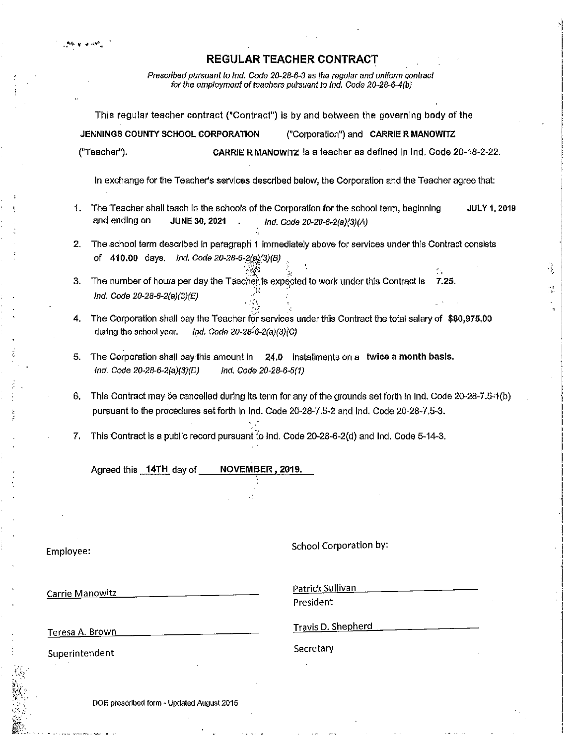$\Delta = 10^{10}$ 

ks.

Prescribed pursuant to Ind. Code 20-28-6-3 as the regular and uniform contract<br>for the employment of teachers pursuant to Ind. Code 20-28-6-4(b)

|                        |                                                                                                                    | This regular teacher contract ("Contract") is by and between the governing body of the                                                                                                                  |
|------------------------|--------------------------------------------------------------------------------------------------------------------|---------------------------------------------------------------------------------------------------------------------------------------------------------------------------------------------------------|
|                        | JENNINGS COUNTY SCHOOL CORPORATION                                                                                 | ("Corporation") and CARRIE R MANOWITZ                                                                                                                                                                   |
|                        | ("Teacher").                                                                                                       | CARRIE R MANOWITZ is a teacher as defined in Ind. Code 20-18-2-22.                                                                                                                                      |
|                        |                                                                                                                    | In exchange for the Teacher's services described below, the Corporation and the Teacher agree that:                                                                                                     |
| 1.                     | and ending on<br><b>JUNE 30, 2021</b>                                                                              | The Teacher shall teach in the schools of the Corporation for the school term, beginning<br><b>JULY 1, 2019</b><br>Ind. Code 20-28-6-2(a)(3)(A)                                                         |
| 2.                     |                                                                                                                    | The school term described in paragraph 1 immediately above for services under this Contract consists                                                                                                    |
|                        | Ind. Code 20-28-6-2(a)(3)(B)<br>of 410.00 days.                                                                    | ۰.                                                                                                                                                                                                      |
| 3.                     | The number of hours per day the Teacher is expected to work under this Contract is<br>Ind. Code 20-28-6-2(a)(3)(E) | 7.25.                                                                                                                                                                                                   |
| 4.                     | Ind. Code 20-28-6-2(a)(3)(C)<br>during the school year.                                                            | The Corporation shall pay the Teacher for services under this Contract the total salary of \$80,975.00                                                                                                  |
| 5.                     | The Corporation shall pay this amount in<br>Ind. Code 20-28-6-2(a)(3)(D)                                           | 24.0 installments on a twice a month basis.<br>Ind. Code 20-28-6-5(1)                                                                                                                                   |
| 6.                     |                                                                                                                    | This Contract may be cancelled during its term for any of the grounds set forth in Ind. Code 20-28-7.5-1(b)<br>pursuant to the procedures set forth in Ind. Code 20-28-7.5-2 and Ind. Code 20-28-7.5-3. |
| 7.                     |                                                                                                                    | This Contract is a public record pursuant to Ind. Code 20-28-6-2(d) and Ind. Code 5-14-3.                                                                                                               |
|                        | Agreed this 14TH day of                                                                                            | NOVEMBER, 2019.                                                                                                                                                                                         |
|                        |                                                                                                                    |                                                                                                                                                                                                         |
| Employee:              |                                                                                                                    | School Corporation by:                                                                                                                                                                                  |
| <b>Carrie Manowitz</b> |                                                                                                                    | Patrick Sullivan<br>President                                                                                                                                                                           |
| Teresa A. Brown        |                                                                                                                    | Travis D. Shepherd                                                                                                                                                                                      |
| Superintendent         |                                                                                                                    | Secretary                                                                                                                                                                                               |
|                        |                                                                                                                    |                                                                                                                                                                                                         |

 $\frac{1}{2}$ 

 $\sigma_{\rm s}$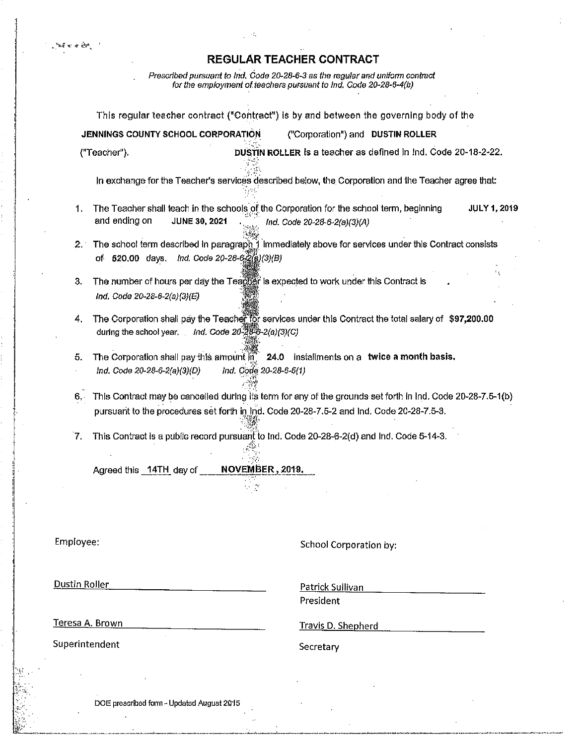$\mathcal{A}_{\mathcal{A}}^{\mathcal{A}}$ 

Prescribed pursuant to Ind, Code 20-28-6-3 as the regular and uniform contract<br>for the employment of teachers pursuant to Ind, Code 20-28-6-4(b)

|           | This regular teacher contract ("Contract") is by and between the governing body of the                                                                                                                  |
|-----------|---------------------------------------------------------------------------------------------------------------------------------------------------------------------------------------------------------|
|           | JENNINGS COUNTY SCHOOL CORPORATION<br>("Corporation") and DUSTIN ROLLER                                                                                                                                 |
|           | DUSTIN ROLLER is a teacher as defined in Ind. Code 20-18-2-22.<br>("Teacher").                                                                                                                          |
|           | In exchange for the Teacher's services described below, the Corporation and the Teacher agree that:                                                                                                     |
| 1.        | The Teacher shall teach in the schools of the Corporation for the school term, beginning<br><b>JULY 1, 2019</b><br>and ending on<br><b>JUNE 30, 2021</b><br>Ind. Code 20-28-6-2(a)(3)(A)                |
| 2.1       | The school term described in paragraph 1 immediately above for services under this Contract consists<br>of 520.00 days. Ind. Code 20-28-6-2(a)(3)(B)                                                    |
| 3.        | The number of hours per day the Teagger is expected to work under this Contract is<br>Ind. Code 20-28-6-2(a)(3)(E)                                                                                      |
| 4.        | The Corporation shall pay the Teacher for services under this Contract the total salary of \$97,200.00<br>during the school year. Ind. Code $20-28-6-2(a)(3)(C)$                                        |
| 5.        | The Corporation shall pay this amount $\overline{m}$ 24.0 installments on a twice a month basis.<br>Ind. Code 20-28-6-5(1)<br>Ind. Code 20-28-6-2(a)(3)(D)                                              |
| 6.        | This Contract may be cancelled during its term for any of the grounds set forth in Ind. Code 20-28-7.5-1(b)<br>pursuant to the procedures set forth in Ind. Code 20-28-7.5-2 and Ind. Code 20-28-7.5-3. |
| 7.        | This Contract is a public record pursuant to Ind. Code 20-28-6-2(d) and Ind. Code 5-14-3.                                                                                                               |
|           | NOVEMBER, 2019.<br>Agreed this 14TH day of                                                                                                                                                              |
| Employee: | School Corporation by:                                                                                                                                                                                  |

Dustin Roller

 $\sim 0.47$  , we can have

Patrick Sullivan

President

Teresa A. Brown

Superintendent

**Travis D. Shepherd** 

Secretary

DOE prescribed form - Updated August 2015

 $\ddot{\phantom{a}}$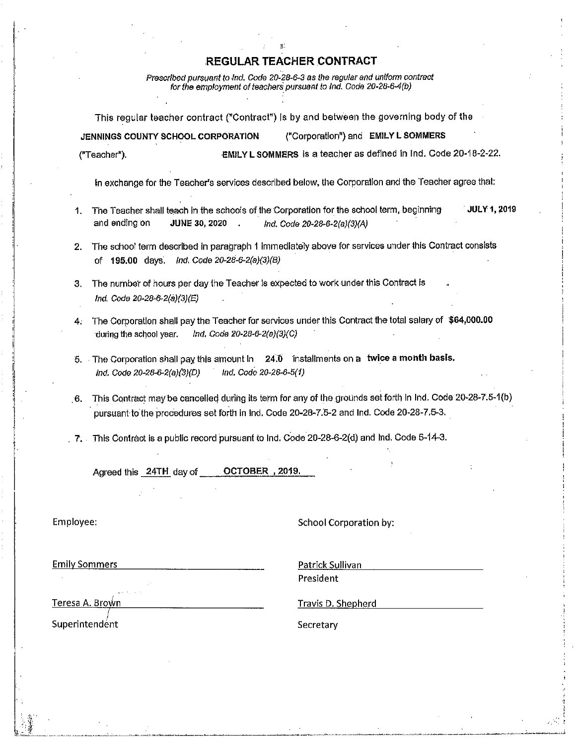Prescribed pursuant to Ind. Code 20-28-6-3 as the regular and uniform contract for the employment of teachers pursuant to Ind. Code 20-28-6-4(b)

This regular teacher contract ("Contract") is by and between the governing body of the ("Corporation") and EMILY L SOMMERS JENNINGS COUNTY SCHOOL CORPORATION EMILY L SOMMERS is a teacher as defined in Ind. Code 20-18-2-22. ("Teacher").

In exchange for the Teacher's services described below, the Corporation and the Teacher agree that:

- JULY 1, 2019 1. The Teacher shall teach in the schools of the Corporation for the school term, beginning and ending on **JUNE 30, 2020** Ind. Code 20-28-6-2(a)(3)(A)
- 2. The school term described in paragraph 1 immediately above for services under this Contract consists of 195.00 days. Ind. Code 20-28-6-2(a)(3)(B)
- 3. The number of hours per day the Teacher is expected to work under this Contract is Ind. Code 20-28-6-2(a)(3)(E)
- 4. The Corporation shall pay the Teacher for services under this Contract the total salary of \$64,000.00 during the school year. Ind. Code 20-28-6-2(a)(3)(C)
- 5. The Corporation shall pay this amount in 24.0 installments on a twice a month basis. Ind. Code 20-28-6-5(1) ind. Code 20-28-6-2(a)(3)(D)
- 6. This Contract may be cancelled during its term for any of the grounds set forth in Ind. Code 20-28-7.5-1(b) pursuant to the procedures set forth in Ind. Code 20-28-7.5-2 and Ind. Code 20-28-7.5-3.
- $\mathcal{F}_1$ . This Contract is a public record pursuant to Ind. Code 20-28-6-2(d) and Ind. Code 5-14-3.

Agreed this 24TH day of OCTOBER, 2019.

Employee:

School Corporation by:

**Emily Sommers** 

Patrick Sullivan President

Teresa A. Brown

Superintendent

Travis D. Shepherd

Secretary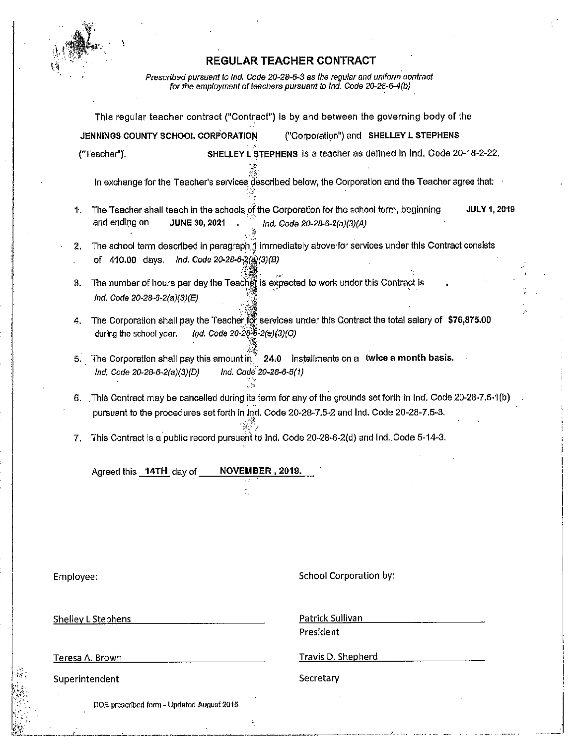

Prescribed pursuant to Ind. Code 20-28-6-3 as the regular and uniform contract<br>for the employment of teachers pursuant to Ind. Code 20-28-6-4(b)

Ì,

|                 |                                                                                                                                                          | This regular teacher contract ("Contract") is by and between the governing body of the                      |
|-----------------|----------------------------------------------------------------------------------------------------------------------------------------------------------|-------------------------------------------------------------------------------------------------------------|
|                 | JENNINGS COUNTY SCHOOL CORPORATION                                                                                                                       | ("Corporation") and SHELLEY L STEPHENS                                                                      |
|                 | ("Teacher").                                                                                                                                             | SHELLEY L STEPHENS is a teacher as defined in Ind. Code 20-18-2-22.                                         |
|                 |                                                                                                                                                          | In exchange for the Teacher's services described below, the Corporation and the Teacher agree that:         |
| 1.              | The Teacher shall teach in the schools of the Corporation for the school term, beginning<br>and ending on<br><b>JUNE 30, 2021</b>                        | <b>JULY 1, 2019</b><br>Ind. Code 20-28-6-2(a)(3)(A)                                                         |
| 2.              | Ind. Code 20-28-6-2(a)(3)(B)<br>of 410.00 days.                                                                                                          | The school term described in paragraph 1 immediately above for services under this Contract consists        |
| 3.              | The number of hours per day the Teacher is expected to work under this Contract is<br>Ind. Code 20-28-6-2(a)(3)(E)                                       |                                                                                                             |
| 4.              | Ind. Code $20-28-8-2(a)(3)(C)$<br>during the school year.                                                                                                | The Corporation shall pay the Teacher for services under this Contract the total salary of \$76,875.00      |
| 5.              | The Corporation shall pay this amount in $\dot{a}$ 24.0 installments on a twice a month basis.<br>Ind. Code 20-28-6-5(1)<br>Ind. Code 20-28-6-2(a)(3)(D) |                                                                                                             |
| 6.              | pursuant to the procedures set forth in Ind. Code 20-28-7.5-2 and Ind. Code 20-28-7.5-3.                                                                 | This Contract may be cancelled during its term for any of the grounds set forth in Ind. Code 20-28-7.5-1(b) |
| 7,              | This Contract is a public record pursuant to Ind. Code 20-28-6-2(d) and Ind. Code 5-14-3.<br>NOVEMBER, 2019.<br>Agreed this 14TH day of                  |                                                                                                             |
|                 |                                                                                                                                                          |                                                                                                             |
| Employee:       |                                                                                                                                                          | School Corporation by:                                                                                      |
|                 | <b>Shelley L Stephens</b>                                                                                                                                | Patrick Sullivan                                                                                            |
|                 |                                                                                                                                                          | President                                                                                                   |
| Teresa A. Brown |                                                                                                                                                          | Travis D. Shepherd                                                                                          |
| Superintendent  |                                                                                                                                                          | Secretary                                                                                                   |
|                 | DOE prescribed form - Updated August 2015                                                                                                                |                                                                                                             |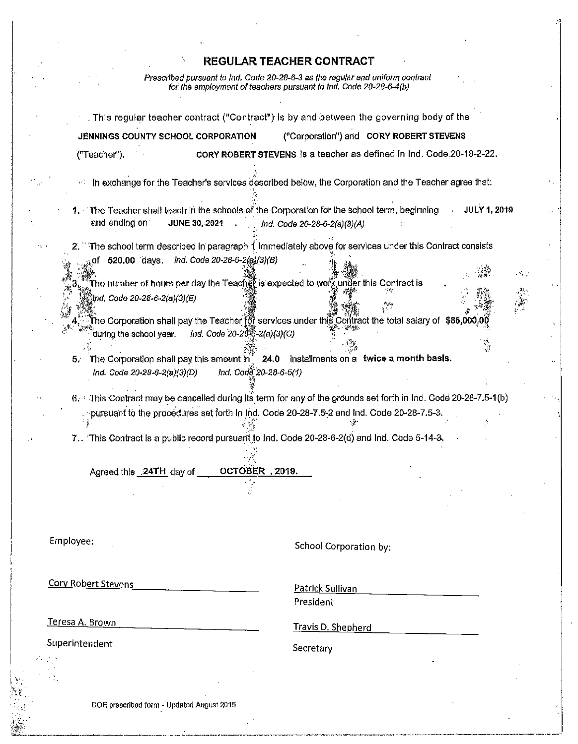$\mathcal{L}_{\mathcal{A}}$ 

 $\sigma^2 \rightarrow \rho^2 \gamma$ 

r Aghair

Prescribed pursuant to Ind. Code 20-28-6-3 as the regular and uniform contract<br>for the employment of teachers pursuant to Ind. Code 20-28-6-4(b)

|                                                 | . This regular teacher contract ("Contract") is by and between the governing body of the                                                           |
|-------------------------------------------------|----------------------------------------------------------------------------------------------------------------------------------------------------|
| JENNINGS COUNTY SCHOOL CORPORATION              | ("Corporation") and CORY ROBERT STEVENS                                                                                                            |
| ("Teacher").                                    | CORY ROBERT STEVENS is a teacher as defined in Ind. Code 20-18-2-22.                                                                               |
| n.                                              | In exchange for the Teacher's services described below, the Corporation and the Teacher agree that:                                                |
| and ending on<br><b>JUNE 30, 2021</b>           | 1. The Teacher shall teach in the schools of the Corporation for the school term, beginning<br><b>JULY 1, 2019</b><br>Ind. Code 20-28-6-2(a)(3)(A) |
|                                                 | The school term described in paragraph 1 immediately above for services under this Contract consists                                               |
| Ind. Code 20-28-6-2(a)(3)(B)<br>of 520.00 days. | The number of hours per day the Teacher is expected to work under this Contract is $\;$                                                            |
| (Ind. Code 20-28-6-2(a)(3)(E)                   |                                                                                                                                                    |
| during the school year.                         | The Corporation shall pay the Teacher for services under this Contract the total salary of $\$85,\!000,\!00$<br>Ind. Code 20-28-6-2(a)(3)(C)       |
| 5.                                              | The Corporation shall pay this amount in <sup>*</sup> 24.0 installments on a twice a month basis.                                                  |
| Ind. Code 20-28-6-2(a)(3)(D)                    | Ind. Code: 20-28-6-5(1)                                                                                                                            |
|                                                 | 6. This Contract may be cancelled during its term for any of the grounds set forth in Ind. Code 20-28-7.5-1(b)                                     |
|                                                 | pursuant to the procedures set forth in Ind. Code 20-28-7.5-2 and Ind. Code 20-28-7.5-3.                                                           |
|                                                 | 7. This Contract is a public record pursuant to Ind. Code 20-28-6-2(d) and Ind. Code 5-14-3.                                                       |
| Agreed this .24TH day of                        | OCTOBER, 2019.                                                                                                                                     |
|                                                 |                                                                                                                                                    |
|                                                 |                                                                                                                                                    |
| Employee:                                       |                                                                                                                                                    |
|                                                 | School Corporation by:                                                                                                                             |
| <b>Cory Robert Stevens</b>                      | Patrick Sullivan                                                                                                                                   |
|                                                 | President                                                                                                                                          |
| <u>Teresa A. Brown</u>                          | <b>Travis D. Shepherd</b>                                                                                                                          |
| Superintendent                                  | Secretary                                                                                                                                          |
|                                                 |                                                                                                                                                    |
|                                                 |                                                                                                                                                    |

 $\sim \zeta$ 

 $\ddot{\phantom{a}}$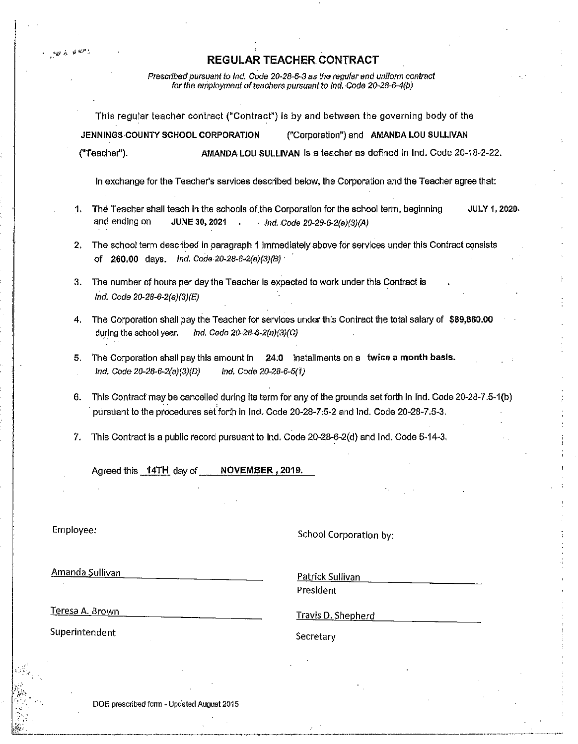瞪声 医额弓

Prescribed pursuant to Ind. Code 20-28-6-3 as the regular and uniform contract<br>for the employment of teachers pursuant to Ind. Code 20-28-6-4(b)

|                |                                                                                                                            | This regular teacher contract ("Contract") is by and between the governing body of the                      |                     |
|----------------|----------------------------------------------------------------------------------------------------------------------------|-------------------------------------------------------------------------------------------------------------|---------------------|
|                | JENNINGS COUNTY SCHOOL CORPORATION                                                                                         | ("Corporation") and AMANDA LOU SULLIVAN                                                                     |                     |
|                | ("Teacher").                                                                                                               | AMANDA LOU SULLIVAN is a teacher as defined in Ind. Code 20-18-2-22.                                        |                     |
|                |                                                                                                                            | In exchange for the Teacher's services described below, the Corporation and the Teacher agree that:         |                     |
| 1.             | The Teacher shall teach in the schools of the Corporation for the school term, beginning<br>and ending on<br>JUNE 30, 2021 | $Ind. Code 20-28-6-2(a)(3)(A)$                                                                              | <b>JULY 1, 2020</b> |
| 2.             | Ind. Code 20-28-6-2(a)(3)(B) ·<br>of 260.00 days.                                                                          | The school term described in paragraph 1 immediately above for services under this Contract consists        |                     |
| 3.             | The number of hours per day the Teacher is expected to work under this Contract is<br>Ind. Code 20-28-6-2(a)(3)(E)         |                                                                                                             |                     |
| 4.             | during the school year.<br>Ind. Code 20-28-6-2(a)(3)(C)                                                                    | The Corporation shall pay the Teacher for services under this Contract the total salary of \$89,860.00      |                     |
| 5.             | The Corporation shall pay this amount in<br>ind. Code 20-28-6-2(a)(3)(D)<br>Ind. Code 20-28-6-5(1)                         | 24.0 installments on a twice a month basis.                                                                 |                     |
| 6.             | pursuant to the procedures set forth in Ind. Code 20-28-7.5-2 and Ind. Code 20-28-7.5-3.                                   | This Contract may be cancelled during its term for any of the grounds set forth in Ind. Code 20-28-7.5-1(b) |                     |
| 7.             | This Contract is a public record pursuant to Ind. Code 20-28-6-2(d) and Ind. Code 5-14-3.                                  |                                                                                                             |                     |
|                | Agreed this 14TH day of NOVEMBER, 2019.                                                                                    |                                                                                                             |                     |
|                |                                                                                                                            |                                                                                                             |                     |
| Employee:      |                                                                                                                            | School Corporation by:                                                                                      |                     |
|                | Amanda Sullivan                                                                                                            | Patrick Sullivan<br>President                                                                               |                     |
|                | Teresa A. Brown                                                                                                            | Travis D. Shepherd                                                                                          |                     |
| Superintendent |                                                                                                                            | Secretary                                                                                                   |                     |
|                |                                                                                                                            |                                                                                                             |                     |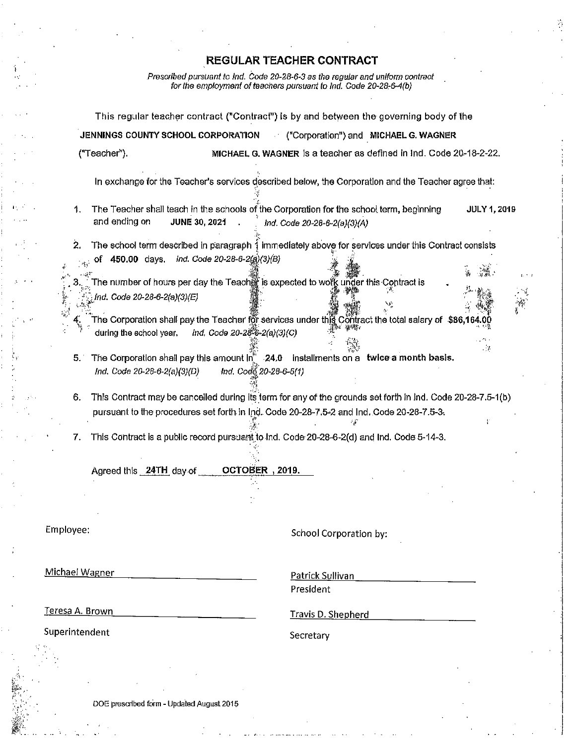Prescribed pursuant to Ind. Code 20-28-6-3 as the regular and uniform contract<br>for the employment of teachers pursuant to Ind. Code 20-28-6-4(b)

|                        | ("Teacher").                 | JENNINGS COUNTY SCHOOL CORPORATION                                                                                                       |                        |                              | Corporation") and MICHAEL G. WAGNER<br>MICHAEL G. WAGNER is a teacher as defined in Ind. Code 20-18-2-22. |                     |  |
|------------------------|------------------------------|------------------------------------------------------------------------------------------------------------------------------------------|------------------------|------------------------------|-----------------------------------------------------------------------------------------------------------|---------------------|--|
|                        |                              |                                                                                                                                          |                        |                              |                                                                                                           |                     |  |
|                        |                              | In exchange for the Teacher's services described below, the Corporation and the Teacher agree that:                                      |                        |                              |                                                                                                           |                     |  |
| 1.                     | and ending on                | The Teacher shall teach in the schools of the Corporation for the school term, beginning<br><b>JUNE 30, 2021</b>                         |                        | Ind. Code 20-28-6-2(a)(3)(A) |                                                                                                           | <b>JULY 1, 2019</b> |  |
| 2.                     |                              | The school term described in paragraph 1 immediately above for services under this Contract consists                                     |                        |                              |                                                                                                           |                     |  |
| $\mathcal{A}_1$        | 450.00 days.<br>Οľ           | Ind. Code 20-28-6-2(a)(3)(B)<br>The number of hours per day the Teacher is expected to work under this Contract is                       |                        |                              |                                                                                                           |                     |  |
|                        | Ind. Code 20-28-6-2(a)(3)(E) |                                                                                                                                          |                        |                              |                                                                                                           |                     |  |
|                        | during the school year.      | The Corporation shall pay the Teacher for services under this Contract the total salary of $\$86,164.00$<br>Ind. Code 20-28-6-2(a)(3)(C) |                        |                              |                                                                                                           |                     |  |
| 5.1                    | Ind. Code 20-28-6-2(a)(3)(D) | The Corporation shall pay this amount $\ln^n$ 24.0 installments on a twice a month basis.                                                | Ind. Code 20-28-6-5(1) |                              |                                                                                                           | $\sim$ $\!$         |  |
| 6.                     |                              | This Contract may be cancelled during its term for any of the grounds set forth in ind. Code 20-28-7.5-1(b)                              |                        |                              |                                                                                                           |                     |  |
|                        |                              | pursuant to the procedures set forth in Ind. Code 20-28-7.5-2 and Ind. Code 20-28-7.5-3.                                                 |                        |                              |                                                                                                           |                     |  |
| 7.                     |                              | This Contract is a public record pursuant to Ind. Code 20-28-6-2(d) and Ind. Code 5-14-3.                                                |                        |                              |                                                                                                           |                     |  |
|                        | Agreed this 24TH day of      |                                                                                                                                          | OCTOBER, 2019.         |                              |                                                                                                           |                     |  |
|                        |                              |                                                                                                                                          |                        |                              |                                                                                                           |                     |  |
|                        |                              |                                                                                                                                          |                        |                              |                                                                                                           |                     |  |
| Employee:              |                              |                                                                                                                                          |                        | School Corporation by:       |                                                                                                           |                     |  |
| Michael Wagner         |                              |                                                                                                                                          |                        | Patrick Sullivan             |                                                                                                           |                     |  |
|                        |                              |                                                                                                                                          |                        | President                    |                                                                                                           |                     |  |
| <u>Teresa A. Brown</u> |                              |                                                                                                                                          |                        | <b>Travis D. Shepherd</b>    |                                                                                                           |                     |  |
| Superintendent         |                              |                                                                                                                                          |                        | Secretary                    |                                                                                                           |                     |  |
|                        |                              |                                                                                                                                          |                        |                              |                                                                                                           |                     |  |
|                        |                              |                                                                                                                                          |                        |                              |                                                                                                           |                     |  |
|                        |                              | DOE prescribed form - Updated August 2015                                                                                                |                        |                              |                                                                                                           |                     |  |

 $\mathcal{F}$ 

 $\mathcal{L}$